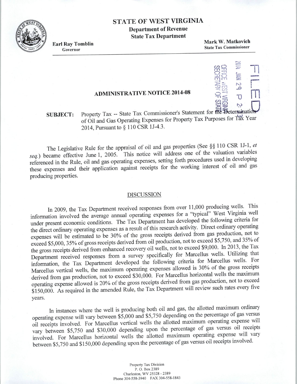### **STATE OF WEST VIRGINIA**

**Department of Revenue State Tax Department** 

**Earl Ray Tomblin**  Governor

**Mark W. Matkovich**  State Tax Commissioner

-,-, :=:; -0

*cn*  $2P$ 

 $\bigcirc$   $\rightleftarrows$  $\cup$  C) ~rn  $\overline{v}$   $\overline{v}$ 

,..\_,

 $5<sup>2</sup>$  $\frac{1}{2}$   $\frac{1}{2}$   $\frac{1}{2}$   $\frac{1}{2}$   $\frac{1}{2}$   $\frac{1}{2}$   $\frac{1}{2}$   $\frac{1}{2}$   $\frac{1}{2}$   $\frac{1}{2}$   $\frac{1}{2}$   $\frac{1}{2}$   $\frac{1}{2}$   $\frac{1}{2}$   $\frac{1}{2}$   $\frac{1}{2}$   $\frac{1}{2}$   $\frac{1}{2}$   $\frac{1}{2}$   $\frac{1}{2}$   $\frac{1}{2}$   $\frac{1}{2}$ 

 $\sum_{i=1}^{\infty}$ 

**11** 

**r-**

 $\blacksquare$ 

## **ADMINISTRATIVE NOTICE 2014-08**

#### **SUBJECT:**  Property Tax -- State Tax Commissioner's Statement for  $\overrightarrow{dR}$  Seterminati of Oil and Gas Operating Expenses for Property Tax Purposes for Tax Year 2014, Pursuant to § 110 CSR 1J-4.3.

The Legislative Rule for the appraisal of oil and gas properties (See §§ 110 CSR 1J-1, *et seq.)* became effective June 1, 2005. This notice will address one of the valuation variables referenced in the Rule, oil and gas operating expenses, setting forth procedures used in developing these expenses and their application against receipts for the working interest of oil and gas producing properties.

#### DISCUSSION

In 2009, the Tax Department received responses from over <sup>11</sup> ,000 producing wells. This information involved the average annual operating expenses for a "typical" West Virginia well under present economic conditions. The Tax Department has developed the following criteria for the direct ordinary operating expenses as a result of this research activity. Direct ordinary operating expenses will be estimated to be 30% of the gross receipts derived from gas production, not to exceed \$5,000, 35% of gross receipts derived from oil production, not to exceed \$5,750, and 35% of the gross receipts derived from enhanced recovery oil wells, not to exceed \$9,000. In 2013, the Tax Department received responses from a survey specifically for Marcellus wells. Utilizing that information, the Tax Department developed the following criteria for Marcellus wells. For Marcellus vertical wells, the maximum operating expenses allowed is 30% of the gross receipts derived from gas production, not to exceed \$30,000. For Marcellus horizontal wells the maximum operating expense allowed is 20% of the gross receipts derived from gas production, not to exceed \$150,000. As required in the amended Rule, the Tax Department will review such rates every five years.

In instances where the well is producing both oil and gas, the allotted maximum ordinary operating expense will vary between \$5,000 and \$5,750 depending on the percentage of gas versus oil receipts involved. For Marcellus vertical wells the allotted maximum operating expense will vary between \$5,750 and \$30,000 depending upon the percentage of gas versus oil receipts involved. For Marcellus horizontal wells the allotted maximum operating expense will vary between \$5,750 and \$150,000 depending upon the percentage of gas versus oil receipts involved.

> Property Tax Division P. 0. Box 2389 Charleston, WV 25328 - 2389 Phone 304-558-3940 FAX 304-558-1843